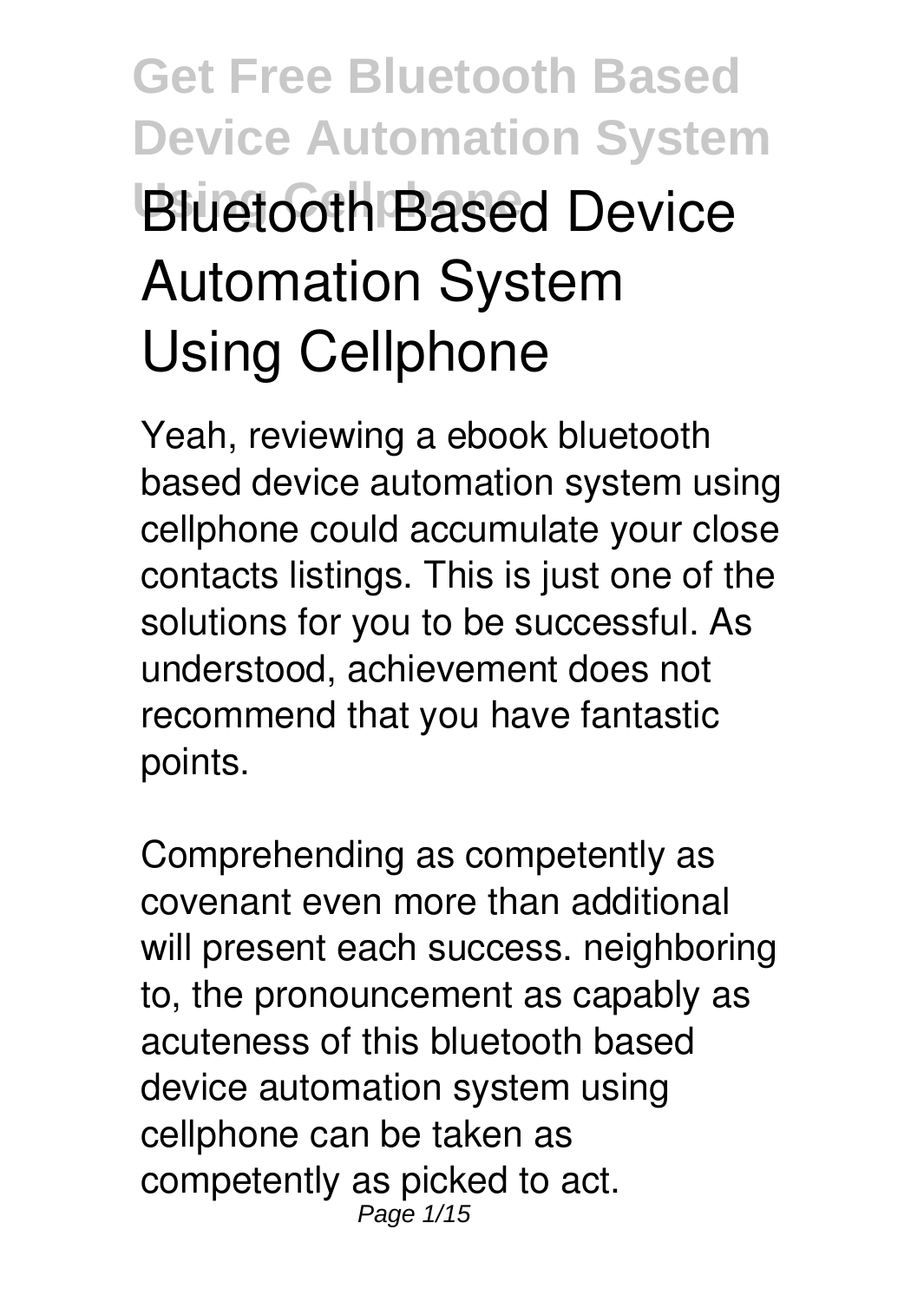# **Get Free Bluetooth Based Device Automation System Using Cellphone Bluetooth Based Device Automation System Using Cellphone**

Yeah, reviewing a ebook **bluetooth based device automation system using cellphone** could accumulate your close contacts listings. This is just one of the solutions for you to be successful. As understood, achievement does not recommend that you have fantastic points.

Comprehending as competently as covenant even more than additional will present each success. neighboring to, the pronouncement as capably as acuteness of this bluetooth based device automation system using cellphone can be taken as competently as picked to act. Page  $1/15$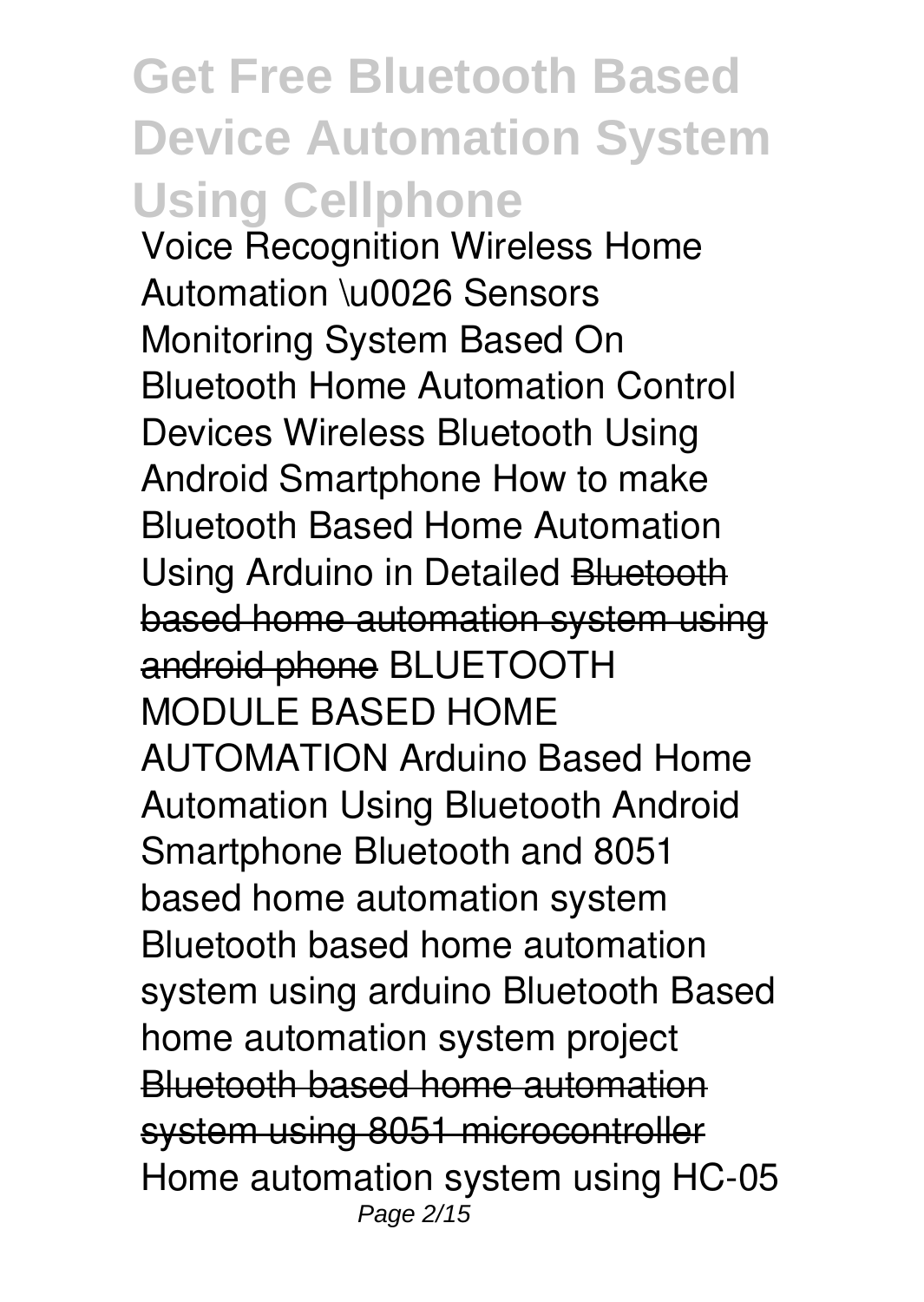### **Get Free Bluetooth Based Device Automation System Using Cellphone**

**Voice Recognition Wireless Home Automation \u0026 Sensors Monitoring System Based On Bluetooth Home Automation Control Devices Wireless Bluetooth Using Android Smartphone** *How to make Bluetooth Based Home Automation Using Arduino in Detailed* Bluetooth based home automation system using android phone **BLUETOOTH MODULE BASED HOME AUTOMATION** *Arduino Based Home Automation Using Bluetooth Android Smartphone Bluetooth and 8051 based home automation system Bluetooth based home automation system using arduino* Bluetooth Based home automation system project Bluetooth based home automation system using 8051 microcontroller **Home automation system using HC-05** Page 2/15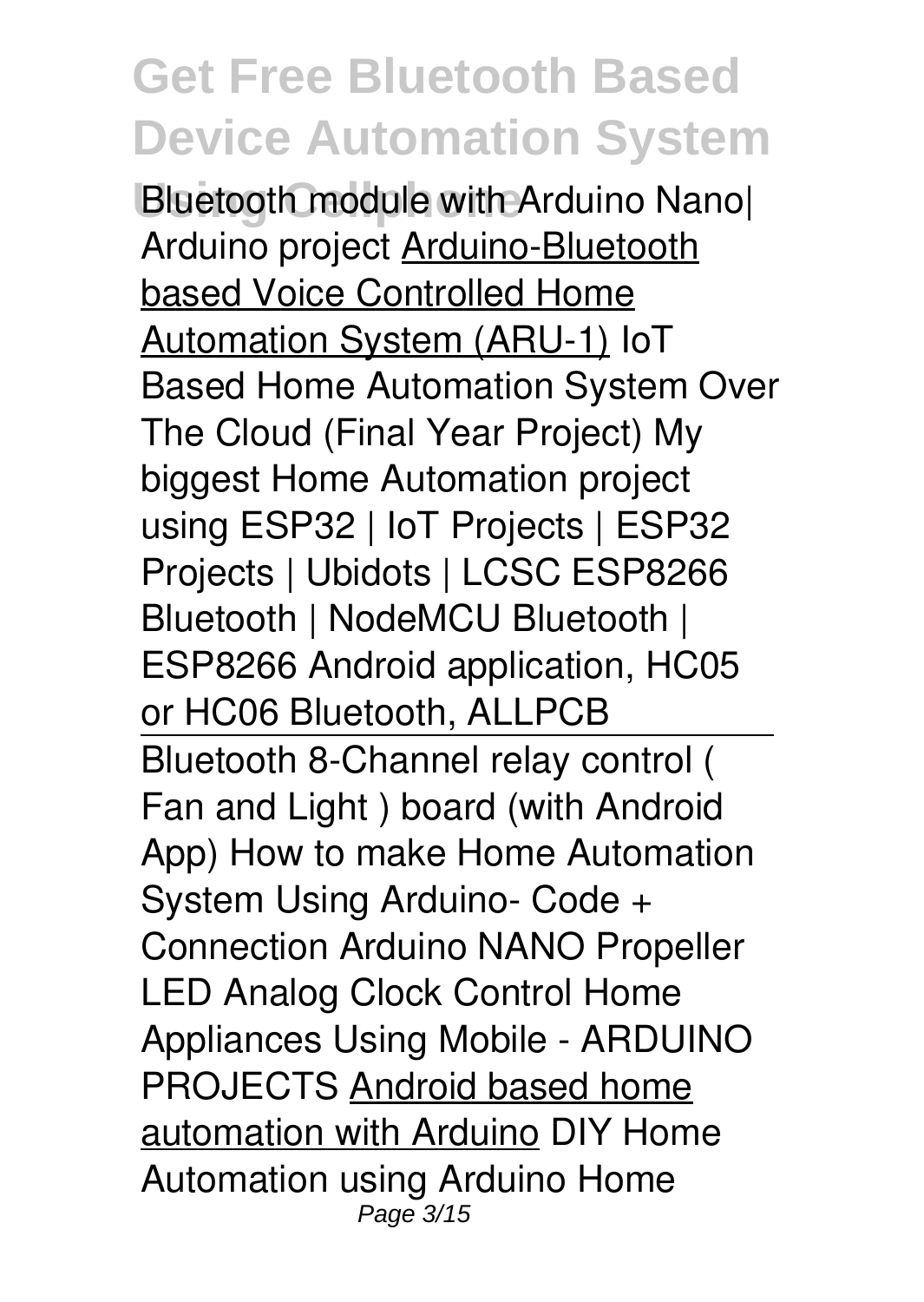**Using Cellphone Bluetooth module with Arduino Nano| Arduino project** Arduino-Bluetooth based Voice Controlled Home Automation System (ARU-1) IoT Based Home Automation System Over The Cloud (Final Year Project) My biggest Home Automation project using ESP32 | IoT Projects | ESP32 Projects | Ubidots | LCSC **ESP8266 Bluetooth | NodeMCU Bluetooth | ESP8266 Android application, HC05 or HC06 Bluetooth, ALLPCB** Bluetooth 8-Channel relay control ( Fan and Light ) board (with Android App) How to make Home Automation System Using Arduino- Code + Connection Arduino NANO Propeller LED Analog Clock *Control Home Appliances Using Mobile - ARDUINO PROJECTS* Android based home automation with Arduino *DIY Home Automation using Arduino Home* Page 3/15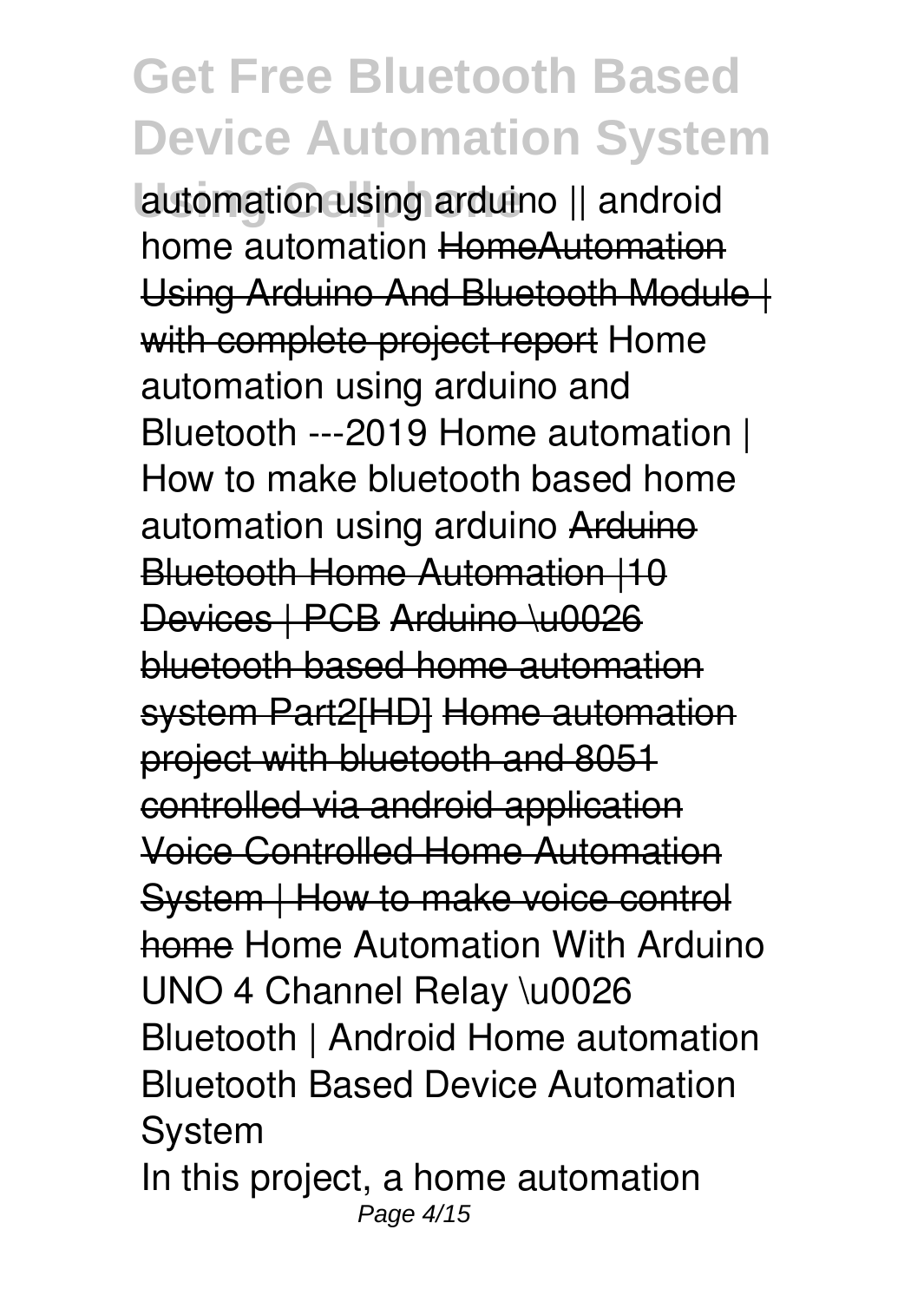**Using Cellphone** *automation using arduino || android home automation* HomeAutomation Using Arduino And Bluetooth Module | with complete project report **Home automation using arduino and Bluetooth ---2019** Home automation | How to make bluetooth based home automation using arduino Arduine Bluetooth Home Automation |10 Devices | PCB Arduino \u0026 bluetooth based home automation system Part2[HD] Home automation project with bluetooth and 8051 controlled via android application Voice Controlled Home Automation System | How to make voice control home *Home Automation With Arduino UNO 4 Channel Relay \u0026 Bluetooth | Android Home automation* **Bluetooth Based Device Automation System**

In this project, a home automation Page 4/15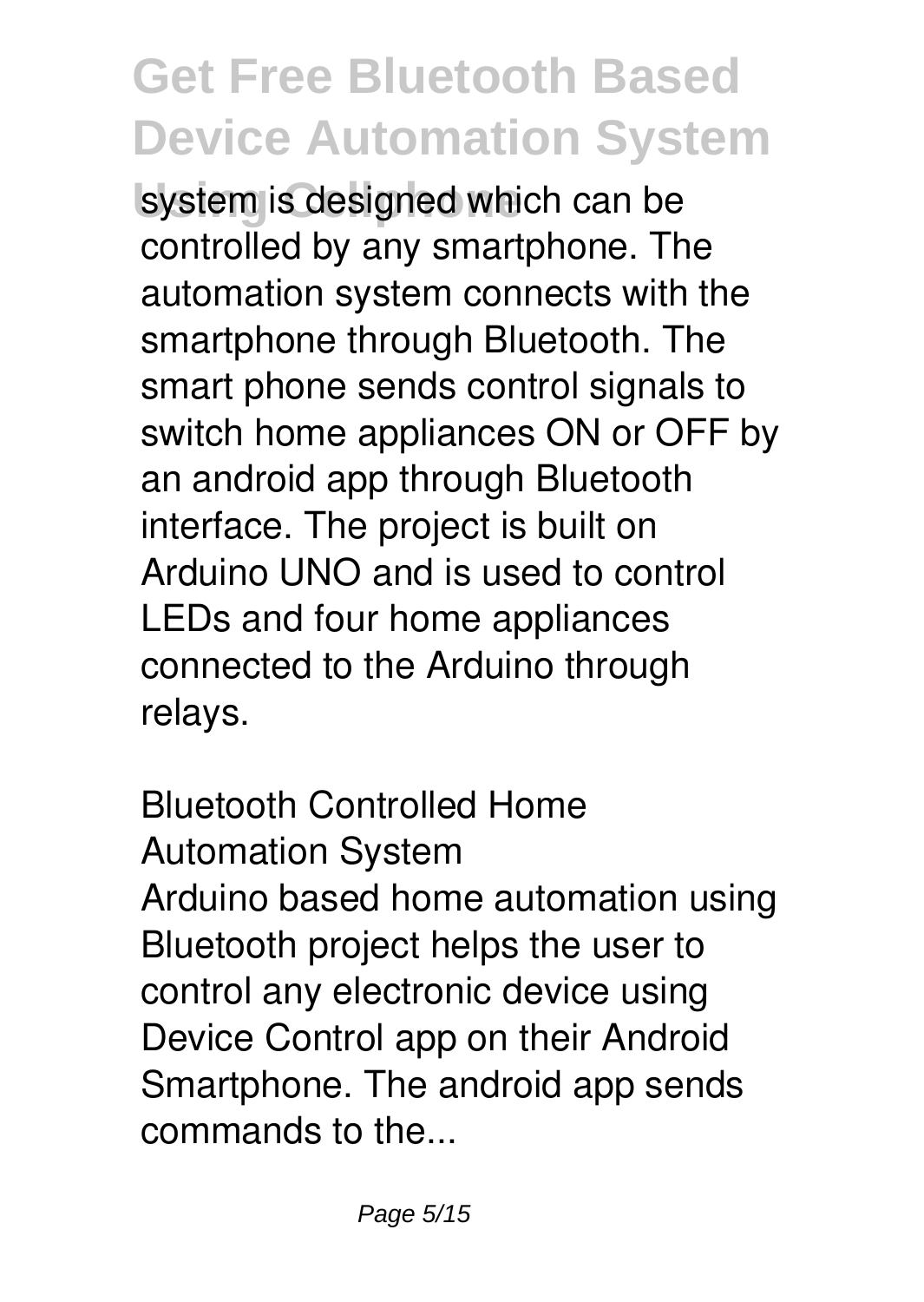system is designed which can be controlled by any smartphone. The automation system connects with the smartphone through Bluetooth. The smart phone sends control signals to switch home appliances ON or OFF by an android app through Bluetooth interface. The project is built on Arduino UNO and is used to control LEDs and four home appliances connected to the Arduino through relays.

**Bluetooth Controlled Home Automation System** Arduino based home automation using Bluetooth project helps the user to control any electronic device using Device Control app on their Android Smartphone. The android app sends commands to the...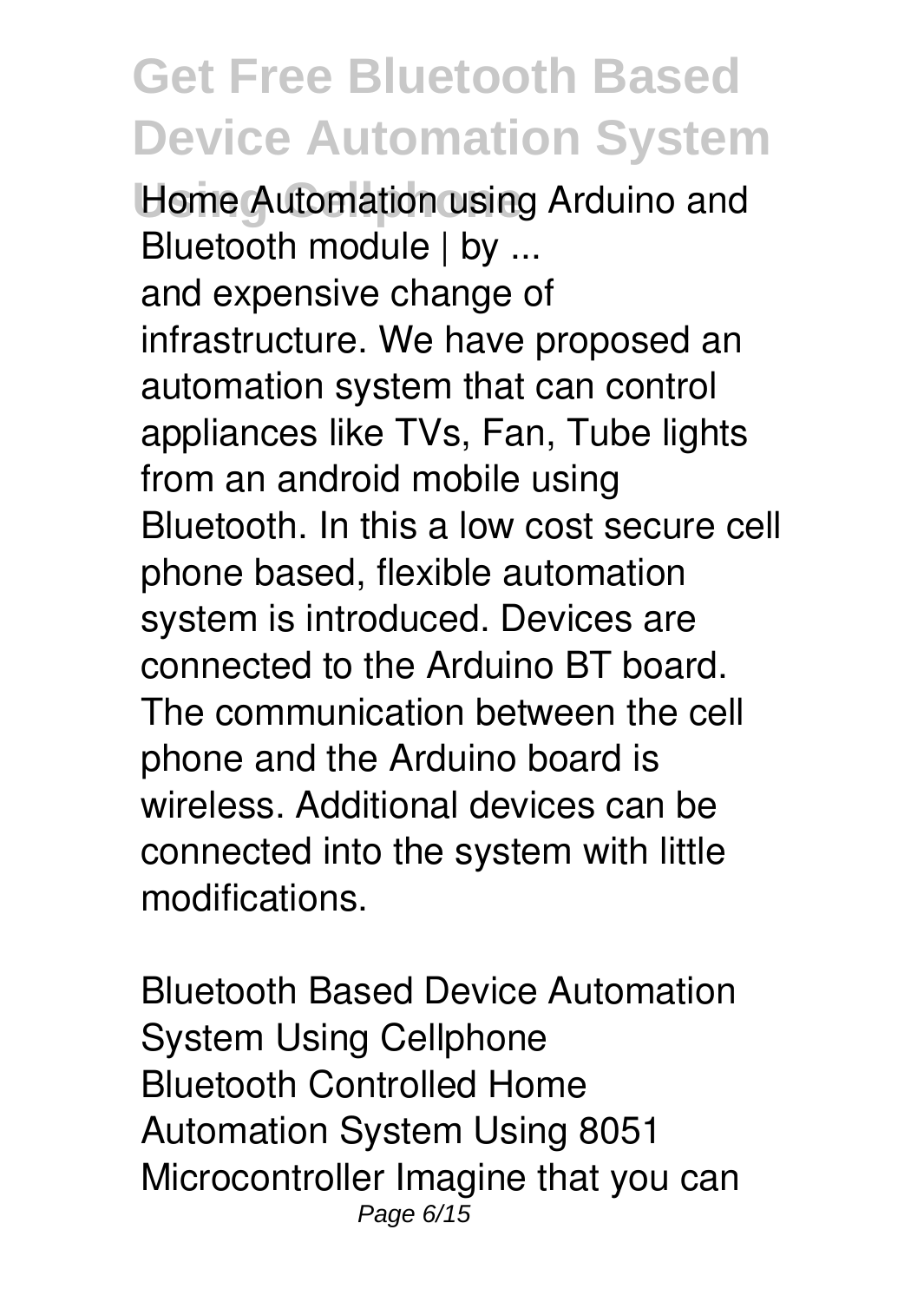**Home Automation using Arduino and Bluetooth module | by ...** and expensive change of infrastructure. We have proposed an automation system that can control appliances like TVs, Fan, Tube lights from an android mobile using Bluetooth. In this a low cost secure cell phone based, flexible automation system is introduced. Devices are connected to the Arduino BT board. The communication between the cell phone and the Arduino board is wireless. Additional devices can be connected into the system with little modifications.

**Bluetooth Based Device Automation System Using Cellphone** Bluetooth Controlled Home Automation System Using 8051 Microcontroller Imagine that you can Page 6/15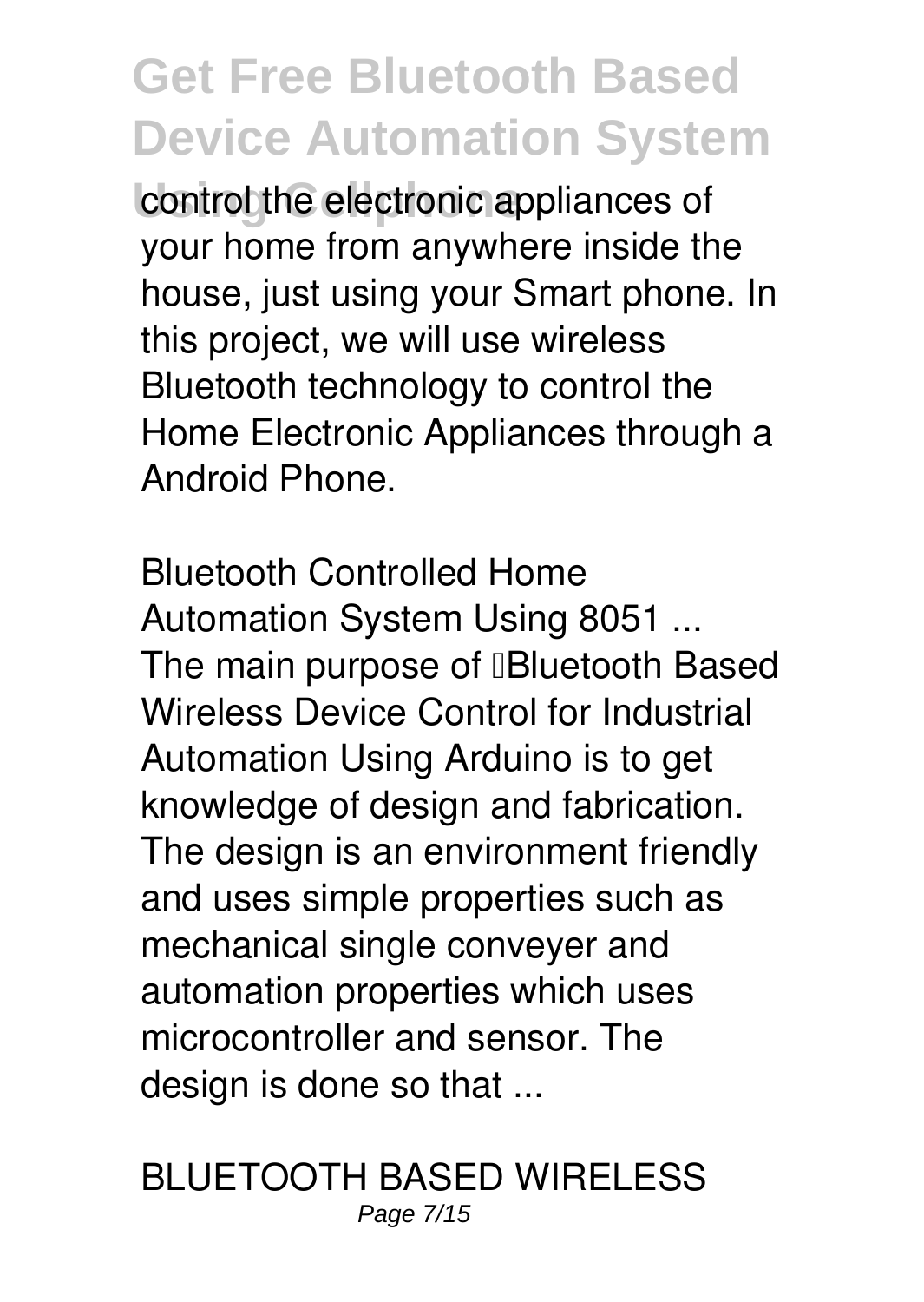control the electronic appliances of your home from anywhere inside the house, just using your Smart phone. In this project, we will use wireless Bluetooth technology to control the Home Electronic Appliances through a Android Phone.

**Bluetooth Controlled Home Automation System Using 8051 ...** The main purpose of **Bluetooth Based** Wireless Device Control for Industrial Automation Using Arduino is to get knowledge of design and fabrication. The design is an environment friendly and uses simple properties such as mechanical single conveyer and automation properties which uses microcontroller and sensor. The design is done so that ...

**BLUETOOTH BASED WIRELESS** Page 7/15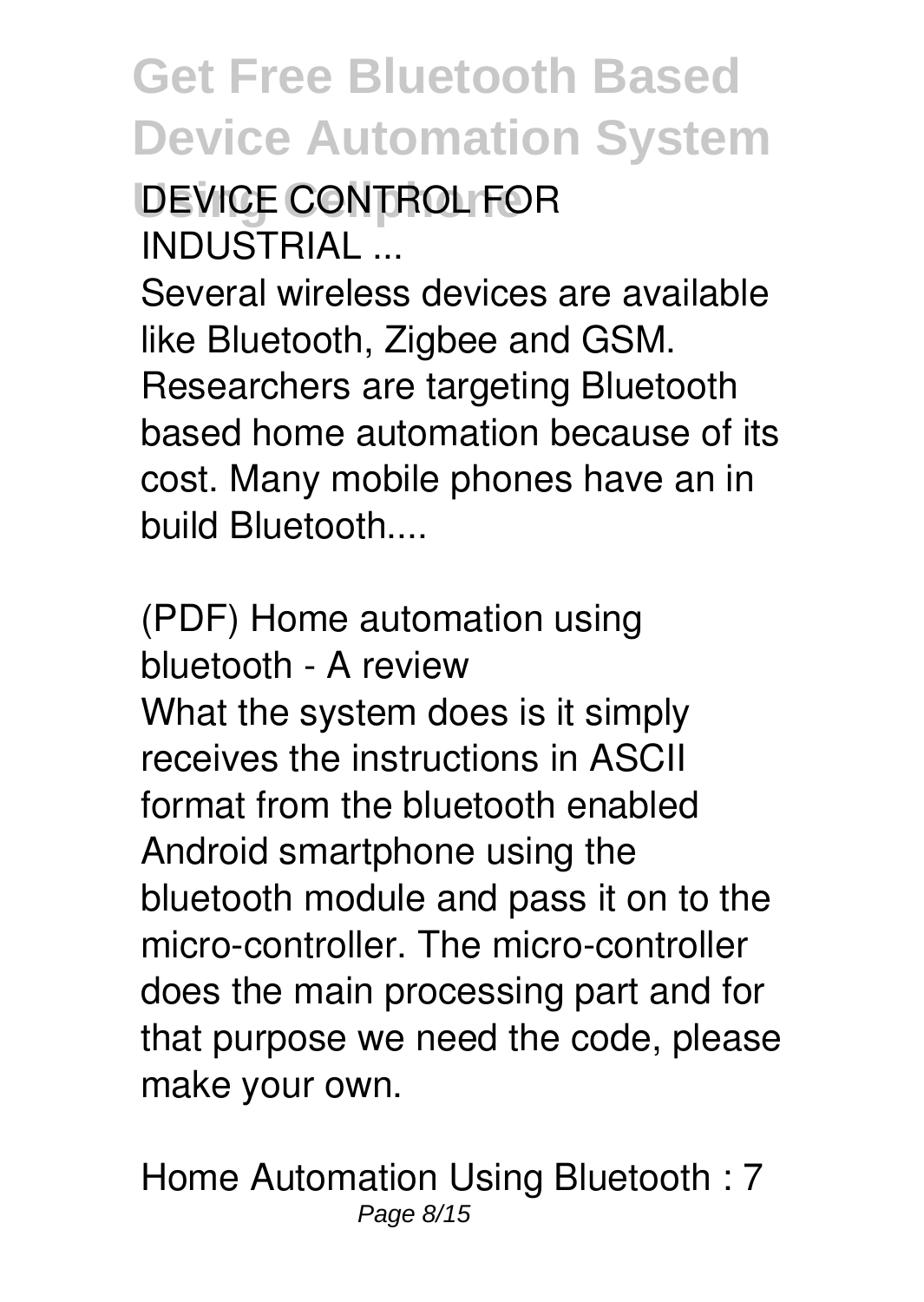#### **Using Cellphone DEVICE CONTROL FOR INDUSTRIAL ...**

Several wireless devices are available like Bluetooth, Zigbee and GSM. Researchers are targeting Bluetooth based home automation because of its cost. Many mobile phones have an in build Bluetooth....

**(PDF) Home automation using bluetooth - A review** What the system does is it simply receives the instructions in ASCII format from the bluetooth enabled Android smartphone using the bluetooth module and pass it on to the micro-controller. The micro-controller does the main processing part and for that purpose we need the code, please make your own.

**Home Automation Using Bluetooth : 7** Page 8/15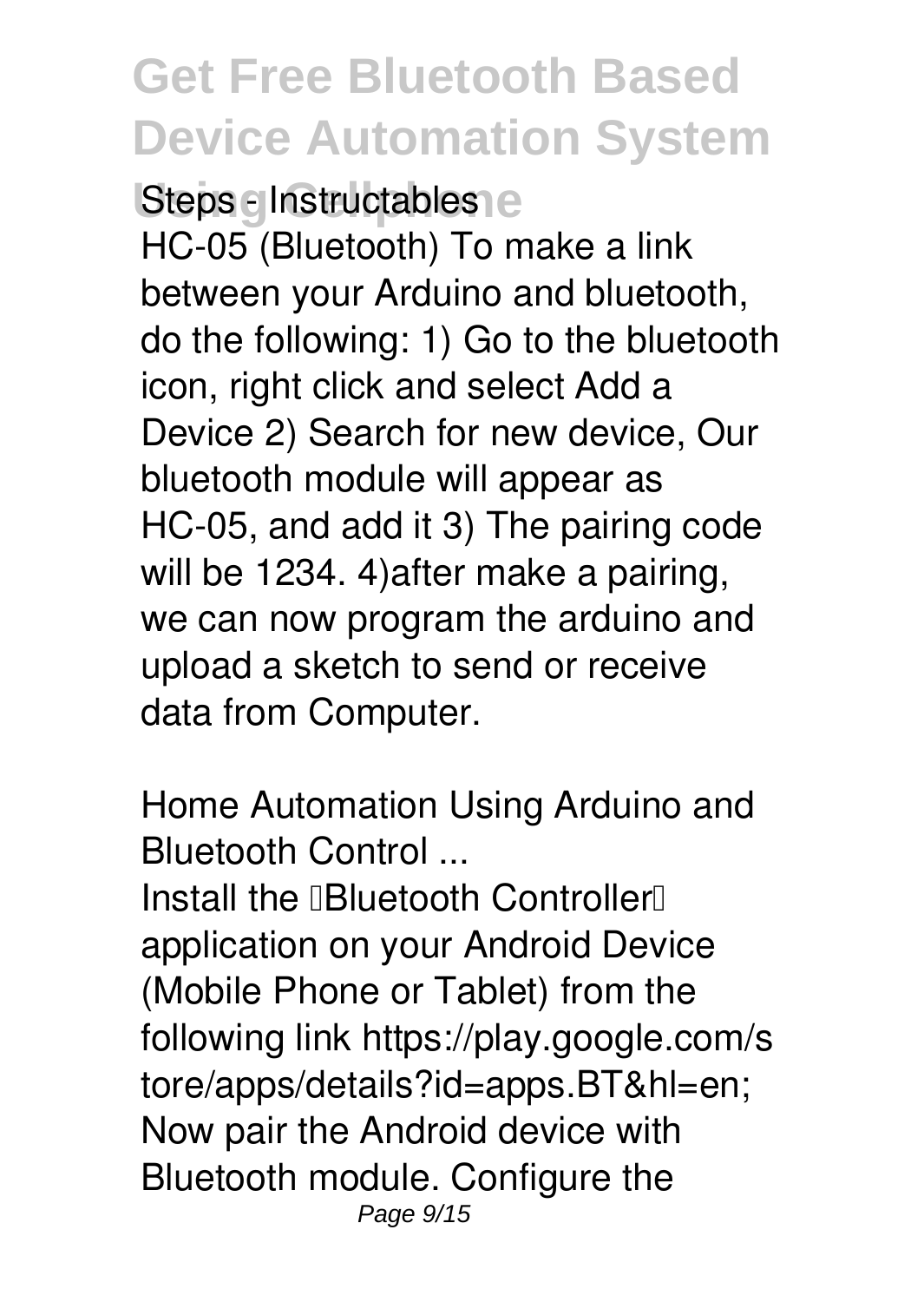**Steps elnstructables** HC-05 (Bluetooth) To make a link between your Arduino and bluetooth, do the following: 1) Go to the bluetooth icon, right click and select Add a Device 2) Search for new device, Our bluetooth module will appear as HC-05, and add it 3) The pairing code will be 1234. 4)after make a pairing, we can now program the arduino and upload a sketch to send or receive data from Computer.

**Home Automation Using Arduino and Bluetooth Control ...**

Install the **"Bluetooth Controller"** application on your Android Device (Mobile Phone or Tablet) from the following link https://play.google.com/s tore/apps/details?id=apps.BT&hl=en; Now pair the Android device with Bluetooth module. Configure the Page 9/15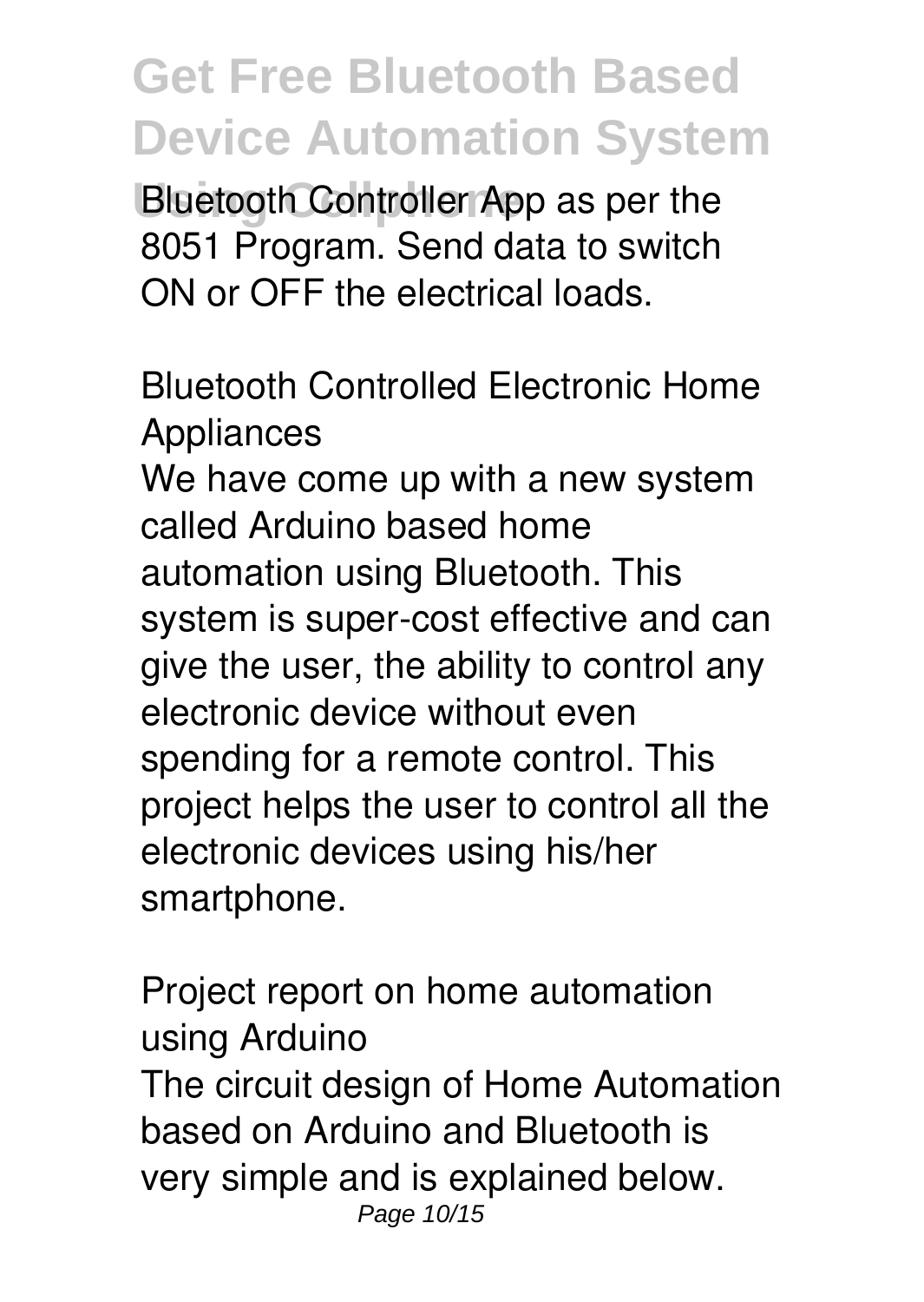**Bluetooth Controller App as per the** 8051 Program. Send data to switch ON or OFF the electrical loads.

**Bluetooth Controlled Electronic Home Appliances**

We have come up with a new system called Arduino based home automation using Bluetooth. This system is super-cost effective and can give the user, the ability to control any electronic device without even spending for a remote control. This project helps the user to control all the electronic devices using his/her smartphone.

**Project report on home automation using Arduino** The circuit design of Home Automation based on Arduino and Bluetooth is very simple and is explained below. Page 10/15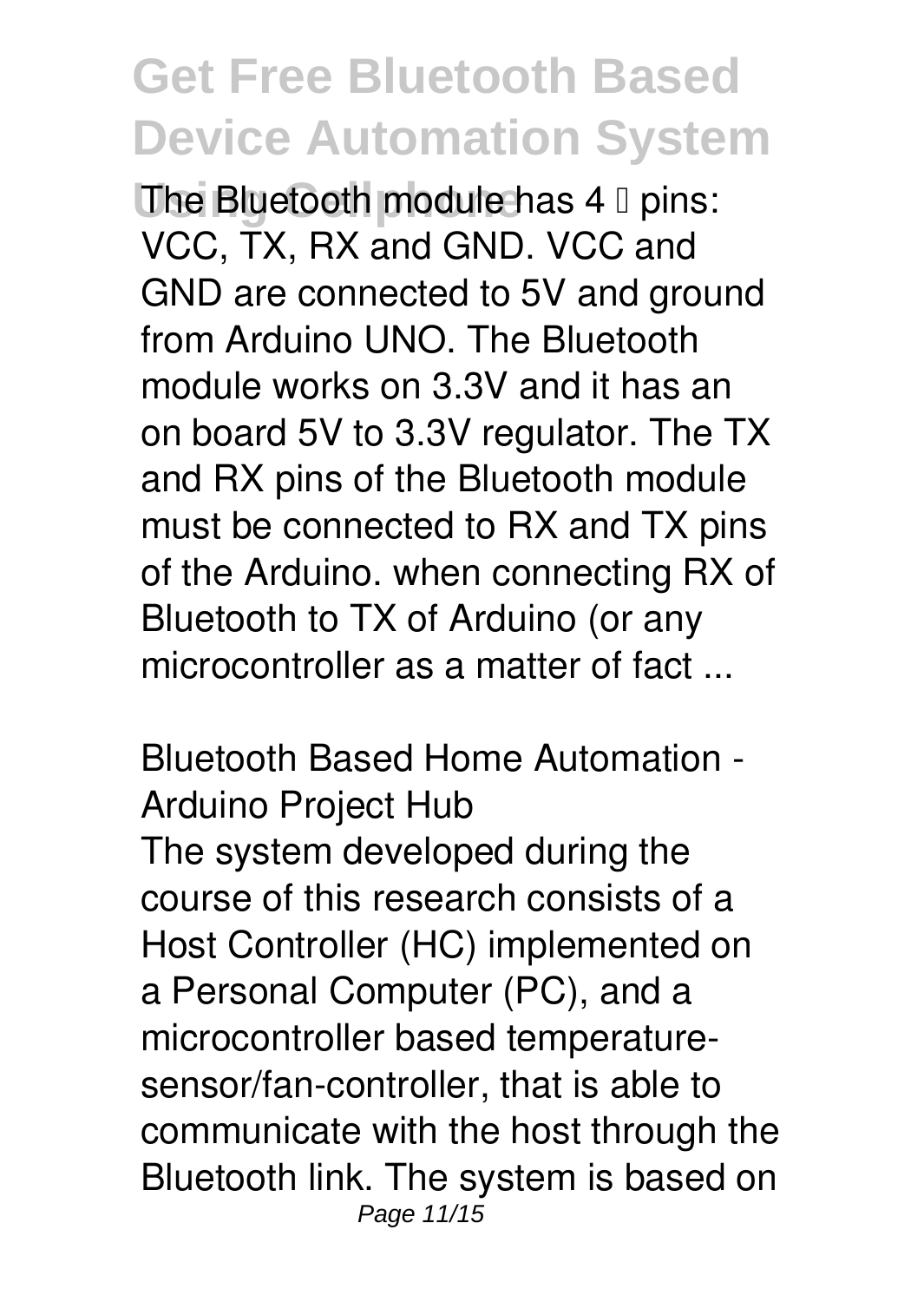**The Bluetooth module has 4 <sup>0</sup> pins:** VCC, TX, RX and GND. VCC and GND are connected to 5V and ground from Arduino UNO. The Bluetooth module works on 3.3V and it has an on board 5V to 3.3V regulator. The TX and RX pins of the Bluetooth module must be connected to RX and TX pins of the Arduino. when connecting RX of Bluetooth to TX of Arduino (or any microcontroller as a matter of fact ...

**Bluetooth Based Home Automation - Arduino Project Hub** The system developed during the course of this research consists of a Host Controller (HC) implemented on a Personal Computer (PC), and a microcontroller based temperaturesensor/fan-controller, that is able to communicate with the host through the Bluetooth link. The system is based on Page 11/15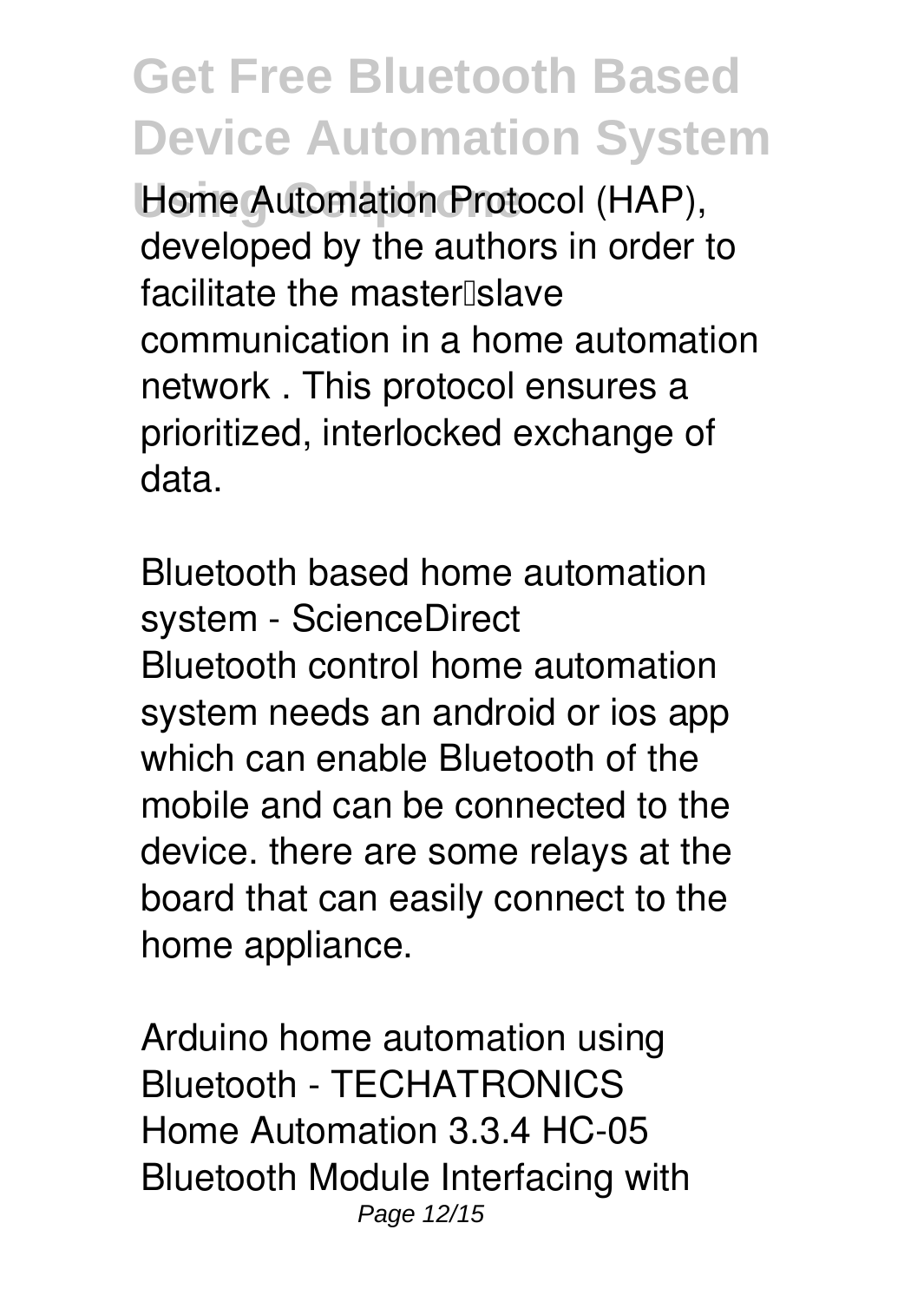**Home Automation Protocol (HAP),** developed by the authors in order to facilitate the master slave communication in a home automation network . This protocol ensures a prioritized, interlocked exchange of data.

**Bluetooth based home automation system - ScienceDirect** Bluetooth control home automation system needs an android or ios app which can enable Bluetooth of the mobile and can be connected to the device. there are some relays at the board that can easily connect to the home appliance.

**Arduino home automation using Bluetooth - TECHATRONICS** Home Automation 3.3.4 HC-05 Bluetooth Module Interfacing with Page 12/15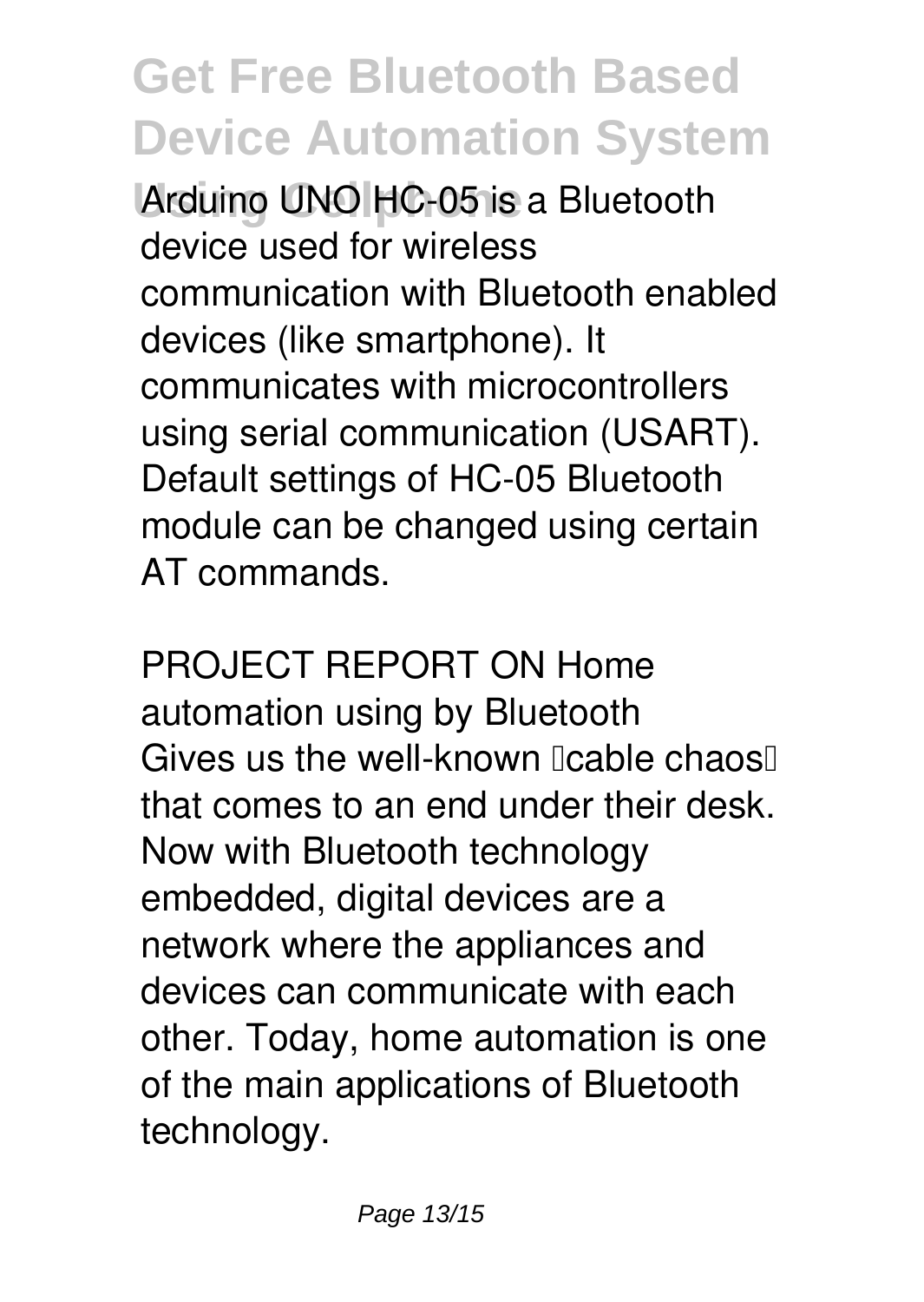Arduino UNO HC-05 is a Bluetooth device used for wireless communication with Bluetooth enabled devices (like smartphone). It communicates with microcontrollers using serial communication (USART). Default settings of HC-05 Bluetooth module can be changed using certain AT commands.

**PROJECT REPORT ON Home automation using by Bluetooth** Gives us the well-known  $\alpha$  cable chaos that comes to an end under their desk. Now with Bluetooth technology embedded, digital devices are a network where the appliances and devices can communicate with each other. Today, home automation is one of the main applications of Bluetooth technology.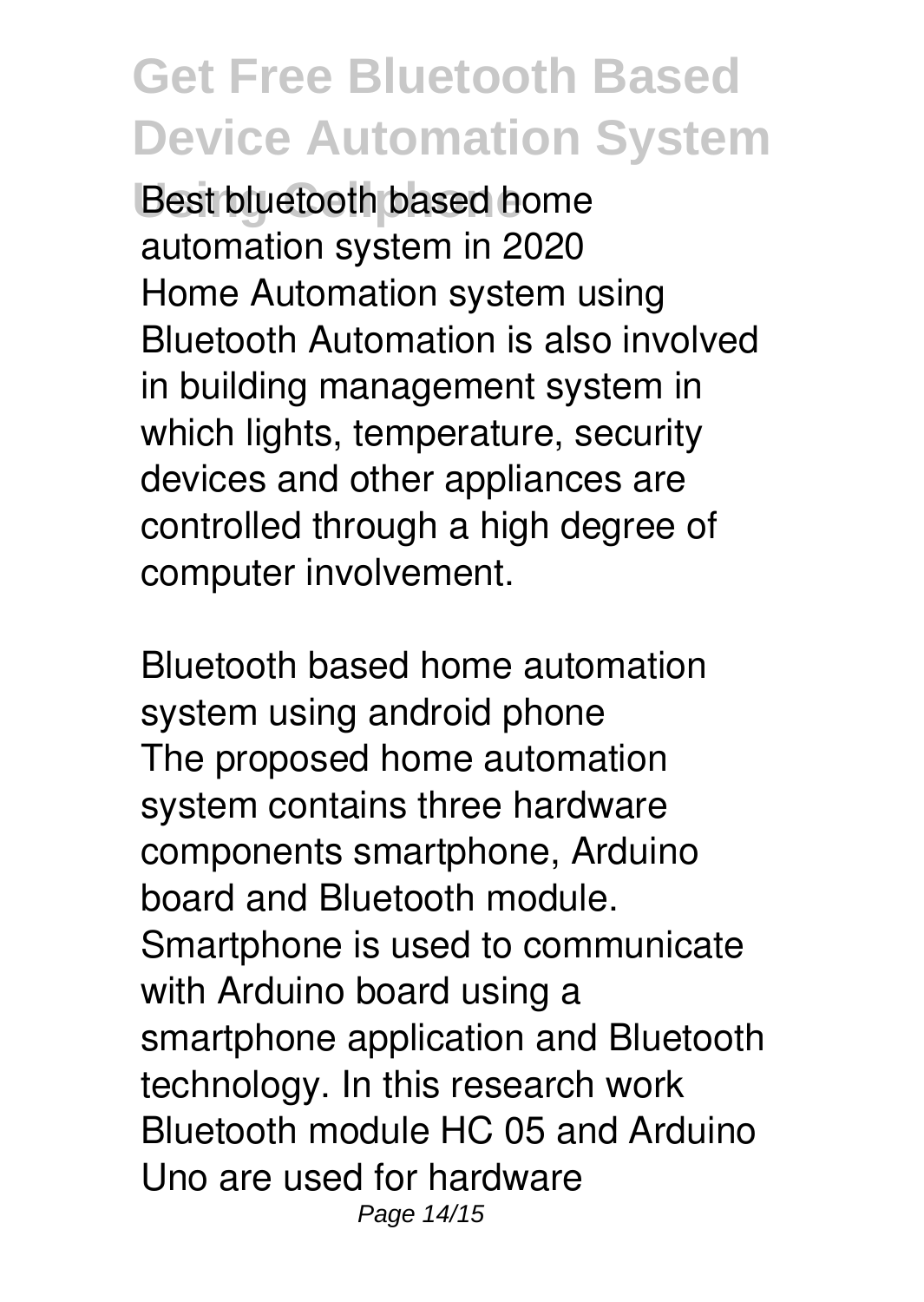**Best bluetooth based home automation system in 2020** Home Automation system using Bluetooth Automation is also involved in building management system in which lights, temperature, security devices and other appliances are controlled through a high degree of computer involvement.

**Bluetooth based home automation system using android phone** The proposed home automation system contains three hardware components smartphone, Arduino board and Bluetooth module. Smartphone is used to communicate with Arduino board using a smartphone application and Bluetooth technology. In this research work Bluetooth module HC 05 and Arduino Uno are used for hardware Page 14/15